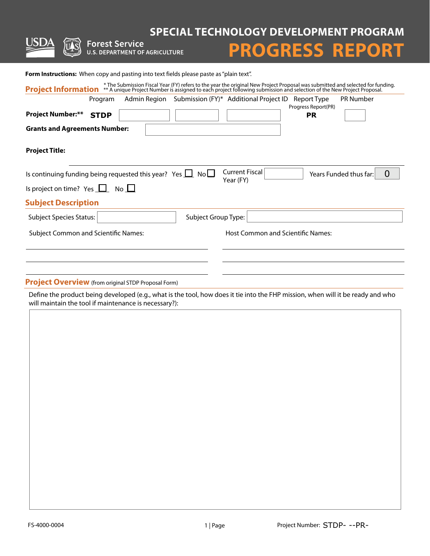**SPECIAL TECHNOLOGY DEVELOPMENT PROGRAM<br>U.S. DEPARTMENT OF AGRICULTURE PROGRESS REPORT** 



# **PROGRESS REPORT**

Form Instructions: When copy and pasting into text fields please paste as "plain text".

| Program                                                                                                           |                     | Admin Region Submission (FY)* Additional Project ID | Report Type<br>Progress Report(PR) | <b>PR Number</b>                         |
|-------------------------------------------------------------------------------------------------------------------|---------------------|-----------------------------------------------------|------------------------------------|------------------------------------------|
| <b>Project Number:**</b><br><b>STDP</b>                                                                           |                     |                                                     | <b>PR</b>                          |                                          |
| <b>Grants and Agreements Number:</b>                                                                              |                     |                                                     |                                    |                                          |
| <b>Project Title:</b>                                                                                             |                     |                                                     |                                    |                                          |
| Is continuing funding being requested this year? Yes $\Box$ No $\Box$<br>Is project on time? Yes $\Box$ No $\Box$ |                     | <b>Current Fiscal</b><br>Year (FY)                  |                                    | $\overline{0}$<br>Years Funded thus far: |
| <b>Subject Description</b>                                                                                        |                     |                                                     |                                    |                                          |
|                                                                                                                   |                     |                                                     |                                    |                                          |
| <b>Subject Species Status:</b>                                                                                    | Subject Group Type: |                                                     |                                    |                                          |
| <b>Subject Common and Scientific Names:</b>                                                                       |                     | <b>Host Common and Scientific Names:</b>            |                                    |                                          |
|                                                                                                                   |                     |                                                     |                                    |                                          |

**Project Overview** (from original STDP Proposal Form)

Define the product being developed (e.g., what is the tool, how does it tie into the FHP mission, when will it be ready and who will maintain the tool if maintenance is necessary?):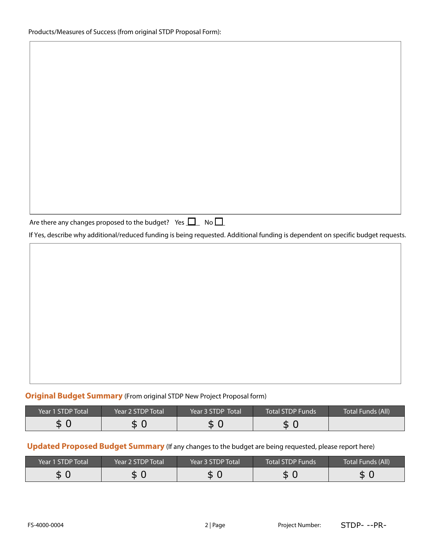|--|

If Yes, describe why additional/reduced funding is being requested. Additional funding is dependent on specific budget requests.

## **Original Budget Summary** (From original STDP New Project Proposal form)

| Year 1 STDP Total | Year 2 STDP Total | Year 3 STDP Total | 'Total STDP Funds | Total Funds (All) |
|-------------------|-------------------|-------------------|-------------------|-------------------|
| D                 | D                 | D                 | ←<br>D.           |                   |

## **Updated Proposed Budget Summary** (If any changes to the budget are being requested, please report here)

| \$ 0              | \$0                                                                                                    | \$0               | \$0                     |                          |
|-------------------|--------------------------------------------------------------------------------------------------------|-------------------|-------------------------|--------------------------|
|                   | Updated Proposed Budget Summary (If any changes to the budget are being requested, please report here) |                   |                         |                          |
| Year 1 STDP Total | Year 2 STDP Total                                                                                      | Year 3 STDP Total | <b>Total STDP Funds</b> | <b>Total Funds (All)</b> |
| \$0               | \$0                                                                                                    | \$0               | \$0                     | \$0                      |
|                   |                                                                                                        |                   |                         |                          |
|                   |                                                                                                        |                   |                         |                          |
| FS-4000-0004      |                                                                                                        | 2 Page            | Project Number:         | STDP---PR-               |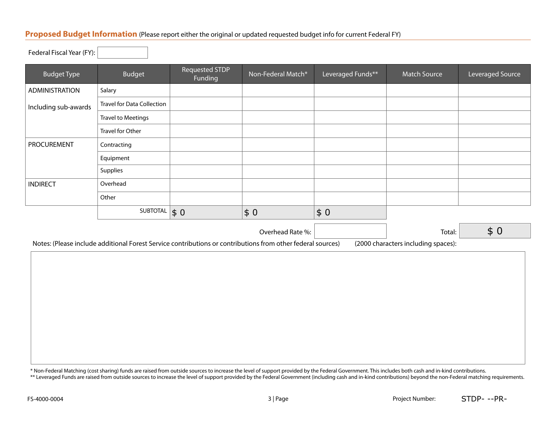#### **Proposed Budget Information** (Please report either the original or updated requested budget info for current Federal FY)

Federal Fiscal Year (FY):

| <b>Budget Type</b>    | <b>Budget</b>                     | Requested STDP<br>Funding | Non-Federal Match*                                                                                          | Leveraged Funds** | <b>Match Source</b>                 | Leveraged Source |
|-----------------------|-----------------------------------|---------------------------|-------------------------------------------------------------------------------------------------------------|-------------------|-------------------------------------|------------------|
| <b>ADMINISTRATION</b> | Salary                            |                           |                                                                                                             |                   |                                     |                  |
| Including sub-awards  | <b>Travel for Data Collection</b> |                           |                                                                                                             |                   |                                     |                  |
|                       | <b>Travel to Meetings</b>         |                           |                                                                                                             |                   |                                     |                  |
|                       | <b>Travel for Other</b>           |                           |                                                                                                             |                   |                                     |                  |
| PROCUREMENT           | Contracting                       |                           |                                                                                                             |                   |                                     |                  |
|                       | Equipment                         |                           |                                                                                                             |                   |                                     |                  |
|                       | Supplies                          |                           |                                                                                                             |                   |                                     |                  |
| <b>INDIRECT</b>       | Overhead                          |                           |                                                                                                             |                   |                                     |                  |
|                       | Other                             |                           |                                                                                                             |                   |                                     |                  |
|                       | SUBTOTAL $\vert \$ 0$             |                           | \$0                                                                                                         | $$0$              |                                     |                  |
|                       |                                   |                           | Overhead Rate %:                                                                                            |                   | Total:                              | \$0              |
|                       |                                   |                           | Notes: (Please include additional Forest Service contributions or contributions from other federal sources) |                   | (2000 characters including spaces): |                  |

\* Non-Federal Matching (cost sharing) funds are raised from outside sources to increase the level of support provided by the Federal Government. This includes both cash and in-kind contributions.

\*\* Leveraged Funds are raised from outside sources to increase the level of support provided by the Federal Government (including cash and in-kind contributions) beyond the non-Federal matching requirements.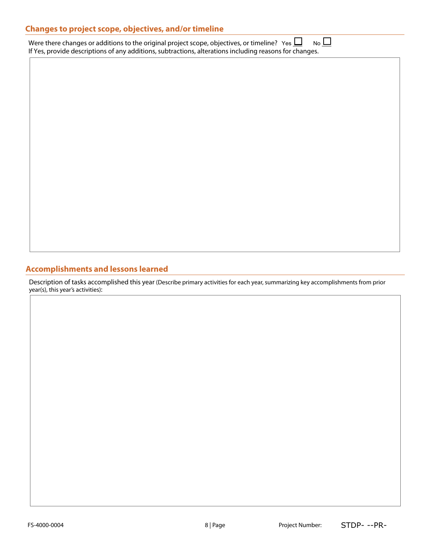| <b>Changes to project scope, objectives, and/or timeline</b>                                                                                                                                                  |             |
|---------------------------------------------------------------------------------------------------------------------------------------------------------------------------------------------------------------|-------------|
| Were there changes or additions to the original project scope, objectives, or timeline? Yes $\Box$<br>If Yes, provide descriptions of any additions, subtractions, alterations including reasons for changes. | $No$ $\Box$ |

# **Accomplishments and lessons learned**

Description of tasks accomplished this year (Describe primary activities for each year, summarizing key accomplishments from prior year(s), this year's activities):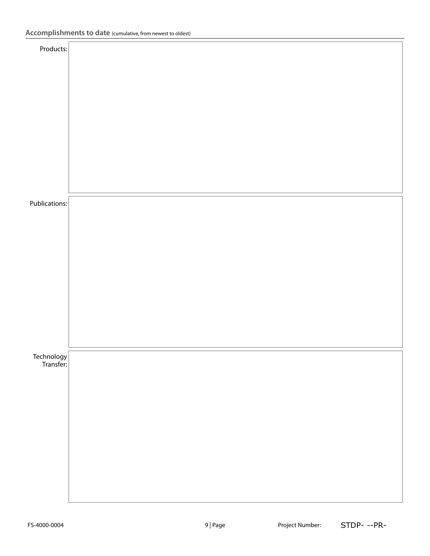| Products:                |  |
|--------------------------|--|
|                          |  |
|                          |  |
|                          |  |
|                          |  |
|                          |  |
|                          |  |
|                          |  |
|                          |  |
| Publications:            |  |
|                          |  |
|                          |  |
|                          |  |
|                          |  |
|                          |  |
|                          |  |
|                          |  |
|                          |  |
| Technology<br> Transfer: |  |
|                          |  |
|                          |  |
|                          |  |
|                          |  |
|                          |  |
|                          |  |
|                          |  |
|                          |  |